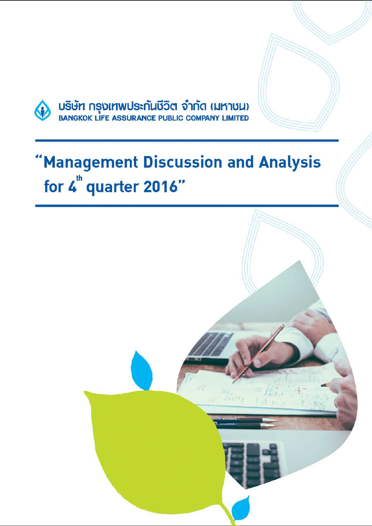

บริษัท กรุงเทพประกันชีวิต จำกัด (มหาชน)<br>BANGKOK LIFE ASSURANCE PUBLIC COMPANY LIMITED

# 'Management Discussion and Analysis for 4<sup>th</sup> quarter 2016"

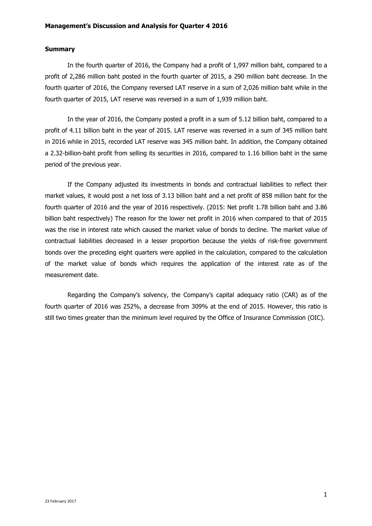## **Summary**

In the fourth quarter of 2016, the Company had a profit of 1,997 million baht, compared to a profit of 2,286 million baht posted in the fourth quarter of 2015, a 290 million baht decrease. In the fourth quarter of 2016, the Company reversed LAT reserve in a sum of 2,026 million baht while in the fourth quarter of 2015, LAT reserve was reversed in a sum of 1,939 million baht.

In the year of 2016, the Company posted a profit in a sum of 5.12 billion baht, compared to a profit of 4.11 billion baht in the year of 2015. LAT reserve was reversed in a sum of 345 million baht in 2016 while in 2015, recorded LAT reserve was 345 million baht. In addition, the Company obtained a 2.32-billion-baht profit from selling its securities in 2016, compared to 1.16 billion baht in the same period of the previous year.

If the Company adjusted its investments in bonds and contractual liabilities to reflect their market values, it would post a net loss of 3.13 billion baht and a net profit of 858 million baht for the fourth quarter of 2016 and the year of 2016 respectively. (2015: Net profit 1.78 billion baht and 3.86 billion baht respectively) The reason for the lower net profit in 2016 when compared to that of 2015 was the rise in interest rate which caused the market value of bonds to decline. The market value of contractual liabilities decreased in a lesser proportion because the yields of risk-free government bonds over the preceding eight quarters were applied in the calculation, compared to the calculation of the market value of bonds which requires the application of the interest rate as of the measurement date.

Regarding the Company's solvency, the Company's capital adequacy ratio (CAR) as of the fourth quarter of 2016 was 252%, a decrease from 309% at the end of 2015. However, this ratio is still two times greater than the minimum level required by the Office of Insurance Commission (OIC).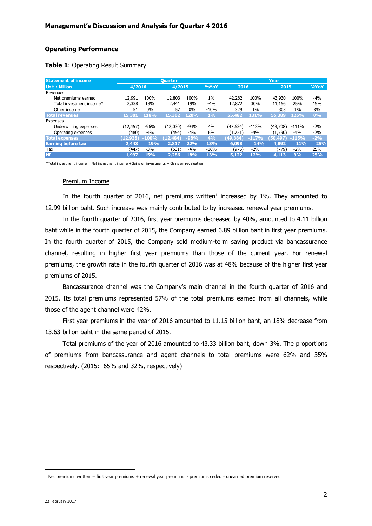## **Operating Performance**

| Table 1: Operating Result Summary |  |
|-----------------------------------|--|
|-----------------------------------|--|

| <b>Statement of income</b> | <b>Ouarter</b> |         |           |        |        | Year     |         |          |         |       |
|----------------------------|----------------|---------|-----------|--------|--------|----------|---------|----------|---------|-------|
| <b>Unit: Million</b>       | 4/2016         |         | 4/2015    |        | %YoY   | 2016     |         | 2015     |         | %YoY  |
| Revenues                   |                |         |           |        |        |          |         |          |         |       |
| Net premiums earned        | 12,991         | 100%    | 12,803    | 100%   | $1\%$  | 42,282   | 100%    | 43,930   | 100%    | $-4%$ |
| Total investment income*   | 2,338          | 18%     | 2,441     | 19%    | $-4%$  | 12,872   | 30%     | 11,156   | 25%     | 15%   |
| Other income               | 51             | $0\%$   | 57        | $0\%$  | $-10%$ | 329      | $1\%$   | 303      | $1\%$   | 8%    |
| <b>Total revenues</b>      | 15,381         | 118%    | 15,302    | 120%   | 1%     | 55,482   | 131%    | 55,389   | 126%    | 0%    |
| <b>Expenses</b>            |                |         |           |        |        |          |         |          |         |       |
| Underwriting expenses      | (12, 457)      | $-96%$  | (12,030)  | $-94%$ | 4%     | (47,634) | $-113%$ | (48,708) | -111%   | $-2%$ |
| Operating expenses         | (480)          | $-4%$   | (454)     | $-4%$  | 6%     | (1,751)  | $-4%$   | (1,790)  | -4%     | $-2%$ |
| <b>Total expenses</b>      | (12.938)       | $-100%$ | (12, 484) | $-98%$ | 4%     | (49,384) | $-117%$ | (50,497) | $-115%$ | $-2%$ |
| <b>Earning before tax</b>  | 2,443          | 19%     | 2.817     | 22%    | 13%    | 6,098    | 14%     | 4,892    | 11%     | 25%   |
| Tax                        | (447)          | $-3%$   | (531)     | $-4%$  | $-16%$ | (976)    | $-2%$   | (779)    | $-2%$   | 25%   |
| <b>NI</b>                  | 1.997          | 15%     | 2.286     | 18%    | 13%    | 5,122    | 12%     | 4,113    | 9%      | 25%   |

\*Total investment income = Net investment income +Gains on investments + Gains on revaluation

#### Premium Income

In the fourth quarter of 2016, net premiums written<sup>1</sup> increased by 1%. They amounted to 12.99 billion baht. Such increase was mainly contributed to by increased renewal year premiums.

In the fourth quarter of 2016, first year premiums decreased by 40%, amounted to 4.11 billion baht while in the fourth quarter of 2015, the Company earned 6.89 billion baht in first year premiums. In the fourth quarter of 2015, the Company sold medium-term saving product via bancassurance channel, resulting in higher first year premiums than those of the current year. For renewal premiums, the growth rate in the fourth quarter of 2016 was at 48% because of the higher first year premiums of 2015.

 Bancassurance channel was the Company's main channel in the fourth quarter of 2016 and 2015. Its total premiums represented 57% of the total premiums earned from all channels, while those of the agent channel were 42%.

First year premiums in the year of 2016 amounted to 11.15 billion baht, an 18% decrease from 13.63 billion baht in the same period of 2015.

Total premiums of the year of 2016 amounted to 43.33 billion baht, down 3%. The proportions of premiums from bancassurance and agent channels to total premiums were 62% and 35% respectively. (2015: 65% and 32%, respectively)

 $\overline{a}$ 

<sup>&</sup>lt;sup>1</sup> Net premiums written = first year premiums + renewal year premiums - premiums ceded ± unearned premium reserves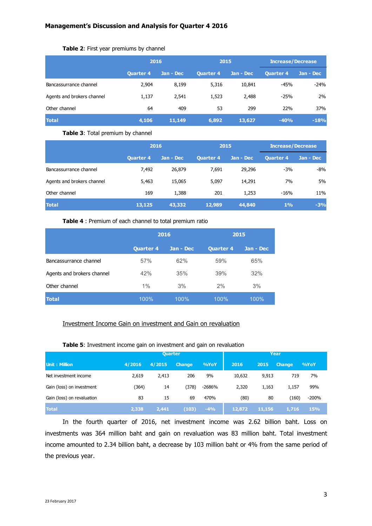# **Table 2**: First year premiums by channel

|                            | 2016             |           | 2015      |           | <b>Increase/Decrease</b> |           |  |
|----------------------------|------------------|-----------|-----------|-----------|--------------------------|-----------|--|
|                            | <b>Quarter 4</b> | Jan - Dec | Quarter 4 | Jan - Dec | <b>Quarter 4</b>         | Jan - Dec |  |
| Bancassurrance channel     | 2,904            | 8,199     | 5,316     | 10,841    | $-45%$                   | $-24%$    |  |
| Agents and brokers channel | 1,137            | 2,541     | 1,523     | 2,488     | $-25%$                   | 2%        |  |
| Other channel              | 64               | 409       | 53        | 299       | 22%                      | 37%       |  |
| <b>Total</b>               | 4,106            | 11,149    | 6,892     | 13,627    | $-40%$                   | $-18%$    |  |

# **Table 3**: Total premium by channel

|                            | 2016             |              | 2015             |           | <b>Increase/Decrease</b> |           |  |
|----------------------------|------------------|--------------|------------------|-----------|--------------------------|-----------|--|
|                            | <b>Quarter 4</b> | : Jan - Dec' | <b>Quarter 4</b> | Jan - Dec | <b>Quarter 4</b>         | Jan - Dec |  |
| Bancassurrance channel     | 7,492            | 26,879       | 7,691            | 29,296    | $-3%$                    | -8%       |  |
| Agents and brokers channel | 5,463            | 15,065       | 5,097            | 14,291    | 7%                       | 5%        |  |
| Other channel              | 169              | 1,388        | 201              | 1,253     | $-16%$                   | 11%       |  |
| <b>Total</b>               | 13,125           | 43,332       | 12,989           | 44,840    | 1%                       | $-3%$     |  |

#### **Table 4** : Premium of each channel to total premium ratio

|                            |                  | 2016      | 2015             |           |  |
|----------------------------|------------------|-----------|------------------|-----------|--|
|                            | <b>Quarter 4</b> | Jan - Dec | <b>Quarter 4</b> | Jan - Dec |  |
| Bancassurrance channel     | 57%              | 62%       | 59%              | 65%       |  |
| Agents and brokers channel | 42%              | 35%       | 39%              | 32%       |  |
| Other channel              | $1\%$            | 3%        | 2%               | 3%        |  |
| <b>Total</b>               | 100%             | 100%      | 100%             | 100%      |  |

# Investment Income Gain on investment and Gain on revaluation

# **Table 5**: Investment income gain on investment and gain on revaluation

|                            | <b>Quarter</b> |        |         |        | Year   |        |               |            |
|----------------------------|----------------|--------|---------|--------|--------|--------|---------------|------------|
| Unit: Million              | 4/2016         | 4/2015 | Change, | %YoY   | 2016   | 2015   | <b>Change</b> | %YoY       |
| Net investment income      | 2,619          | 2,413  | 206     | 9%     | 10,632 | 9,913  | 719           | 7%         |
| Gain (loss) on investment  | (364)          | 14     | (378)   | -2686% | 2,320  | 1,163  | 1,157         | 99%        |
| Gain (loss) on revaluation | 83             | 15     | 69      | 470%   | (80)   | 80     | (160)         | $-200%$    |
| <b>Total</b>               | 2,338          | 2,441  | (103)   | $-4%$  | 12,872 | 11,156 | 1,716         | <b>15%</b> |

In the fourth quarter of 2016, net investment income was 2.62 billion baht. Loss on investments was 364 million baht and gain on revaluation was 83 million baht. Total investment income amounted to 2.34 billion baht, a decrease by 103 million baht or 4% from the same period of the previous year.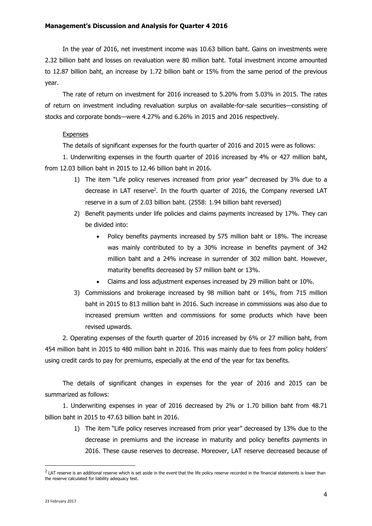# **Management's Discussion and Analysis for Quarter 4 2016**

In the year of 2016, net investment income was 10.63 billion baht. Gains on investments were 2.32 billion baht and losses on revaluation were 80 million baht. Total investment income amounted to 12.87 billion baht, an increase by 1.72 billion baht or 15% from the same period of the previous year.

The rate of return on investment for 2016 increased to 5.20% from 5.03% in 2015. The rates of return on investment including revaluation surplus on available-for-sale securities—consisting of stocks and corporate bonds—were 4.27% and 6.26% in 2015 and 2016 respectively.

## Expenses

The details of significant expenses for the fourth quarter of 2016 and 2015 were as follows:

1. Underwriting expenses in the fourth quarter of 2016 increased by 4% or 427 million baht, from 12.03 billion baht in 2015 to 12.46 billion baht in 2016.

- 1) The item "Life policy reserves increased from prior year" decreased by 3% due to a decrease in LAT reserve<sup>2</sup>. In the fourth quarter of 2016, the Company reversed LAT reserve in a sum of 2.03 billion baht. (2558: 1.94 billion baht reversed)
- 2) Benefit payments under life policies and claims payments increased by 17%. They can be divided into:
	- Policy benefits payments increased by 575 million baht or 18%. The increase was mainly contributed to by a 30% increase in benefits payment of 342 million baht and a 24% increase in surrender of 302 million baht. However, maturity benefits decreased by 57 million baht or 13%.
	- Claims and loss adjustment expenses increased by 29 million baht or 10%.
- 3) Commissions and brokerage increased by 98 million baht or 14%, from 715 million baht in 2015 to 813 million baht in 2016. Such increase in commissions was also due to increased premium written and commissions for some products which have been revised upwards.

2. Operating expenses of the fourth quarter of 2016 increased by 6% or 27 million baht, from 454 million baht in 2015 to 480 million baht in 2016. This was mainly due to fees from policy holders' using credit cards to pay for premiums, especially at the end of the year for tax benefits.

The details of significant changes in expenses for the year of 2016 and 2015 can be summarized as follows:

1. Underwriting expenses in year of 2016 decreased by 2% or 1.70 billion baht from 48.71 billion baht in 2015 to 47.63 billion baht in 2016.

1) The item "Life policy reserves increased from prior year" decreased by 13% due to the decrease in premiums and the increase in maturity and policy benefits payments in 2016. These cause reserves to decrease. Moreover, LAT reserve decreased because of

 $\overline{a}$ 

 $^2$  LAT reserve is an additional reserve which is set aside in the event that the life policy reserve recorded in the financial statements is lower than the reserve calculated for liability adequacy test.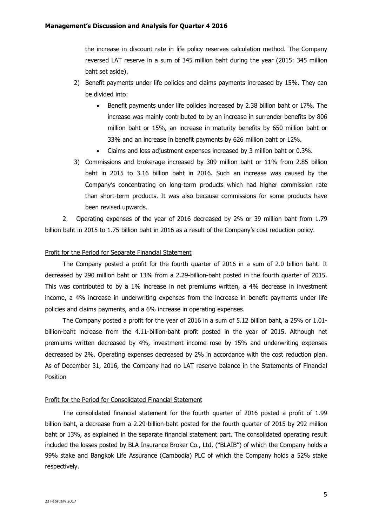the increase in discount rate in life policy reserves calculation method. The Company reversed LAT reserve in a sum of 345 million baht during the year (2015: 345 million baht set aside).

- 2) Benefit payments under life policies and claims payments increased by 15%. They can be divided into:
	- Benefit payments under life policies increased by 2.38 billion baht or 17%. The increase was mainly contributed to by an increase in surrender benefits by 806 million baht or 15%, an increase in maturity benefits by 650 million baht or 33% and an increase in benefit payments by 626 million baht or 12%.
	- Claims and loss adjustment expenses increased by 3 million baht or 0.3%.
- 3) Commissions and brokerage increased by 309 million baht or 11% from 2.85 billion baht in 2015 to 3.16 billion baht in 2016. Such an increase was caused by the Company's concentrating on long-term products which had higher commission rate than short-term products. It was also because commissions for some products have been revised upwards.

2. Operating expenses of the year of 2016 decreased by 2% or 39 million baht from 1.79 billion baht in 2015 to 1.75 billion baht in 2016 as a result of the Company's cost reduction policy.

#### Profit for the Period for Separate Financial Statement

The Company posted a profit for the fourth quarter of 2016 in a sum of 2.0 billion baht. It decreased by 290 million baht or 13% from a 2.29-billion-baht posted in the fourth quarter of 2015. This was contributed to by a 1% increase in net premiums written, a 4% decrease in investment income, a 4% increase in underwriting expenses from the increase in benefit payments under life policies and claims payments, and a 6% increase in operating expenses.

The Company posted a profit for the year of 2016 in a sum of 5.12 billion baht, a 25% or 1.01 billion-baht increase from the 4.11-billion-baht profit posted in the year of 2015. Although net premiums written decreased by 4%, investment income rose by 15% and underwriting expenses decreased by 2%. Operating expenses decreased by 2% in accordance with the cost reduction plan. As of December 31, 2016, the Company had no LAT reserve balance in the Statements of Financial Position

#### Profit for the Period for Consolidated Financial Statement

The consolidated financial statement for the fourth quarter of 2016 posted a profit of 1.99 billion baht, a decrease from a 2.29-billion-baht posted for the fourth quarter of 2015 by 292 million baht or 13%, as explained in the separate financial statement part. The consolidated operating result included the losses posted by BLA Insurance Broker Co., Ltd. ("BLAIB") of which the Company holds a 99% stake and Bangkok Life Assurance (Cambodia) PLC of which the Company holds a 52% stake respectively.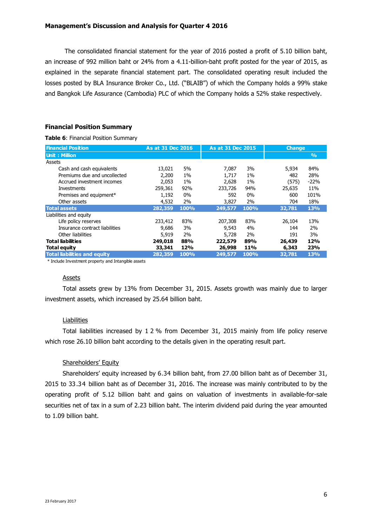The consolidated financial statement for the year of 2016 posted a profit of 5.10 billion baht, an increase of 992 million baht or 24% from a 4.11-billion-baht profit posted for the year of 2015, as explained in the separate financial statement part. The consolidated operating result included the losses posted by BLA Insurance Broker Co., Ltd. ("BLAIB") of which the Company holds a 99% stake and Bangkok Life Assurance (Cambodia) PLC of which the Company holds a 52% stake respectively.

# **Financial Position Summary**

**Table 6**: Financial Position Summary

|                                     |         |                   |         |                   | <b>Change</b> |               |
|-------------------------------------|---------|-------------------|---------|-------------------|---------------|---------------|
| <b>Financial Position</b>           |         | As at 31 Dec 2016 |         | As at 31 Dec 2015 |               |               |
| <b>Unit: Million</b>                |         |                   |         |                   |               | $\frac{9}{6}$ |
| Assets                              |         |                   |         |                   |               |               |
| Cash and cash equivalents           | 13,021  | 5%                | 7,087   | 3%                | 5,934         | 84%           |
| Premiums due and uncollected        | 2,200   | $1\%$             | 1,717   | $1\%$             | 482           | 28%           |
| Accrued investment incomes          | 2,053   | $1\%$             | 2,628   | $1\%$             | (575)         | $-22%$        |
| <b>Investments</b>                  | 259,361 | 92%               | 233,726 | 94%               | 25,635        | 11%           |
| Premises and equipment*             | 1,192   | $0\%$             | 592     | $0\%$             | 600           | 101%          |
| Other assets                        | 4,532   | 2%                | 3,827   | 2%                | 704           | 18%           |
| <b>Total assets</b>                 | 282,359 | 100%              | 249,577 | 100%              | 32,781        | 13%           |
| Liabilities and equity              |         |                   |         |                   |               |               |
| Life policy reserves                | 233,412 | 83%               | 207,308 | 83%               | 26,104        | 13%           |
| Insurance contract liabilities      | 9,686   | 3%                | 9,543   | 4%                | 144           | 2%            |
| Other liabilities                   | 5,919   | 2%                | 5,728   | 2%                | 191           | 3%            |
| <b>Total liabilities</b>            | 249,018 | 88%               | 222,579 | 89%               | 26,439        | 12%           |
| <b>Total equity</b>                 | 33,341  | 12%               | 26,998  | <b>11%</b>        | 6,343         | 23%           |
| <b>Total liabilities and equity</b> | 282,359 | 100%              | 249,577 | 100%              | 32,781        | 13%           |

\* Include Investment property and Intangible assets

## Assets

Total assets grew by 13% from December 31, 2015. Assets growth was mainly due to larger investment assets, which increased by 25.64 billion baht.

# Liabilities

Total liabilities increased by 1 2 % from December 31, 2015 mainly from life policy reserve which rose 26.10 billion baht according to the details given in the operating result part.

# Shareholders' Equity

Shareholders' equity increased by 6.34 billion baht, from 27.00 billion baht as of December 31, 2015 to 33.34 billion baht as of December 31, 2016. The increase was mainly contributed to by the operating profit of 5.12 billion baht and gains on valuation of investments in available-for-sale securities net of tax in a sum of 2.23 billion baht. The interim dividend paid during the year amounted to 1.09 billion baht.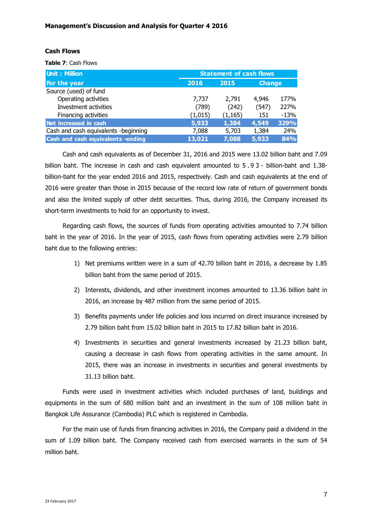# **Cash Flows**

**Table 7**: Cash Flows

| <b>Unit: Million</b>                 | <b>Statement of cash flows</b> |          |               |        |  |  |
|--------------------------------------|--------------------------------|----------|---------------|--------|--|--|
| For the year                         | 2016                           | 2015     | <b>Change</b> |        |  |  |
| Source (used) of fund                |                                |          |               |        |  |  |
| Operating activities                 | 7,737                          | 2,791    | 4,946         | 177%   |  |  |
| Investment activities                | (789)                          | (242)    | (547)         | 227%   |  |  |
| Financing activities                 | (1,015)                        | (1, 165) | 151           | $-13%$ |  |  |
| Net increased in cash                | 5,933                          | 1,384    | 4,549         | 329%   |  |  |
| Cash and cash equivalents -beginning | 7,088                          | 5,703    | 1,384         | 24%    |  |  |
| Cash and cash equivalents -ending    | 13,021                         | 7,088    | 5,933         | 84%    |  |  |

Cash and cash equivalents as of December 31, 2016 and 2015 were 13.02 billion baht and 7.09 billion baht. The increase in cash and cash equivalent amounted to 5.93 - billion-baht and 1.38billion-baht for the year ended 2016 and 2015, respectively. Cash and cash equivalents at the end of 2016 were greater than those in 2015 because of the record low rate of return of government bonds and also the limited supply of other debt securities. Thus, during 2016, the Company increased its short-term investments to hold for an opportunity to invest.

Regarding cash flows, the sources of funds from operating activities amounted to 7.74 billion baht in the year of 2016. In the year of 2015, cash flows from operating activities were 2.79 billion baht due to the following entries:

- 1) Net premiums written were in a sum of 42.70 billion baht in 2016, a decrease by 1.85 billion baht from the same period of 2015.
- 2) Interests, dividends, and other investment incomes amounted to 13.36 billion baht in 2016, an increase by 487 million from the same period of 2015.
- 3) Benefits payments under life policies and loss incurred on direct insurance increased by 2.79 billion baht from 15.02 billion baht in 2015 to 17.82 billion baht in 2016.
- 4) Investments in securities and general investments increased by 21.23 billion baht, causing a decrease in cash flows from operating activities in the same amount. In 2015, there was an increase in investments in securities and general investments by 31.13 billion baht.

Funds were used in investment activities which included purchases of land, buildings and equipments in the sum of 680 million baht and an investment in the sum of 108 million baht in Bangkok Life Assurance (Cambodia) PLC which is registered in Cambodia.

For the main use of funds from financing activities in 2016, the Company paid a dividend in the sum of 1.09 billion baht. The Company received cash from exercised warrants in the sum of 54 million baht.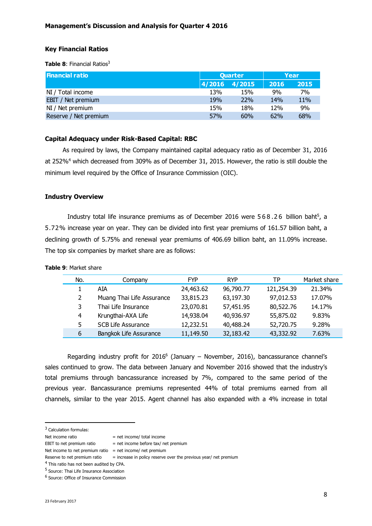# **Key Financial Ratios**

**Table 8: Financial Ratios<sup>3</sup>** 

| <b>Financial ratio</b> | <b>Quarter</b> |        | Year            |      |
|------------------------|----------------|--------|-----------------|------|
|                        | 4/2016         | 4/2015 | 2016            | 2015 |
| NI / Total income      | 13%            | 15%    | 9%              | 7%   |
| EBIT / Net premium     | 19%            | 22%    | 14 <sub>%</sub> | 11%  |
| NI / Net premium       | 15%            | 18%    | 12%             | 9%   |
| Reserve / Net premium  | 57%            | 60%    | 62%             | 68%  |

# **Capital Adequacy under Risk-Based Capital: RBC**

As required by laws, the Company maintained capital adequacy ratio as of December 31, 2016 at 252%<sup>4</sup> which decreased from 309% as of December 31, 2015. However, the ratio is still double the minimum level required by the Office of Insurance Commission (OIC).

## **Industry Overview**

Industry total life insurance premiums as of December 2016 were  $568.26$  billion baht<sup>5</sup>, a 5.72% increase year on year. They can be divided into first year premiums of 161.57 billion baht, a declining growth of 5.75% and renewal year premiums of 406.69 billion baht, an 11.09% increase. The top six companies by market share are as follows:

| <b>e 9:</b> Market share |                           |            |            |            |              |
|--------------------------|---------------------------|------------|------------|------------|--------------|
| No.                      | Company                   | <b>FYP</b> | <b>RYP</b> | ТP         | Market share |
|                          | AIA                       | 24,463.62  | 96,790.77  | 121,254.39 | 21.34%       |
| 2                        | Muang Thai Life Assurance | 33,815.23  | 63,197.30  | 97,012.53  | 17.07%       |
| 3                        | Thai Life Insurance       | 23,070.81  | 57,451.95  | 80,522.76  | 14.17%       |
| 4                        | Krungthai-AXA Life        | 14,938.04  | 40,936.97  | 55,875.02  | 9.83%        |
| 5.                       | <b>SCB Life Assurance</b> | 12,232.51  | 40,488.24  | 52,720.75  | 9.28%        |

6 Bangkok Life Assurance 11,149.50 32,183.42 43,332.92 7.63%

**Table** 

Regarding industry profit for 2016<sup>6</sup> (January – November, 2016), bancassurance channel's sales continued to grow. The data between January and November 2016 showed that the industry's total premiums through bancassurance increased by 7%, compared to the same period of the previous year. Bancassurance premiums represented 44% of total premiums earned from all channels, similar to the year 2015. Agent channel has also expanded with a 4% increase in total

<sup>3</sup> Calculation formulas:

 $\overline{a}$ 

Net income ratio  $=$  net income/ total income

EBIT to net premium ratio  $=$  net income before tax/ net premium

Net income to net premium ratio = net income/ net premium

Reserve to net premium ratio  $=$  increase in policy reserve over the previous year/ net premium

<sup>&</sup>lt;sup>4</sup> This ratio has not been audited by CPA.

<sup>&</sup>lt;sup>5</sup> Source: Thai Life Insurance Association

<sup>&</sup>lt;sup>6</sup> Source: Office of Insurance Commission